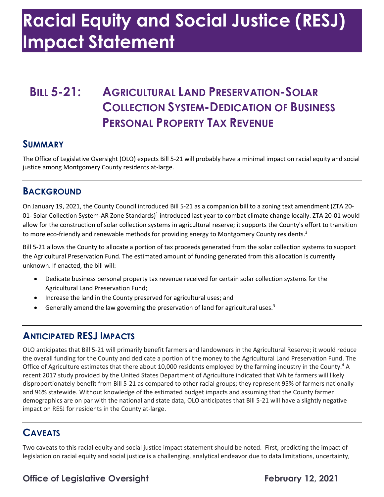# **Racial Equity and Social Justice (RESJ) Impact Statement**

# **BILL 5-21: AGRICULTURAL LAND PRESERVATION-SOLAR COLLECTION SYSTEM-DEDICATION OF BUSINESS PERSONAL PROPERTY TAX REVENUE**

#### **SUMMARY**

 The Office of Legislative Oversight (OLO) expects Bill 5-21 will probably have a minimal impact on racial equity and social justice among Montgomery County residents at-large.

#### **BACKGROUND**

 On January 19, 2021, the County Council introduced Bill 5-21 as a companion bill to a zoning text amendment (ZTA 20- allow for the construction of solar collection systems in agricultural reserve; it supports the County's effort to transition to more eco-friendly and renewable methods for providing energy to Montgomery County residents.<sup>2</sup> 01- Solar Collection System-AR Zone Standards)<sup>1</sup> introduced last year to combat climate change locally. ZTA 20-01 would

 Bill 5-21 allows the County to allocate a portion of tax proceeds generated from the solar collection systems to support the Agricultural Preservation Fund. The estimated amount of funding generated from this allocation is currently unknown. If enacted, the bill will:

- • Dedicate business personal property tax revenue received for certain solar collection systems for the Agricultural Land Preservation Fund;
- Increase the land in the County preserved for agricultural uses; and
- Generally amend the law governing the preservation of land for agricultural uses.<sup>3</sup>

#### **ANTICIPATED RESJ IMPACTS**

Office of Agriculture estimates that there about 10,000 residents employed by the farming industry in the County.<sup>4</sup> A recent 2017 study provided by the United States Department of Agriculture indicated that White farmers will likely disproportionately benefit from Bill 5-21 as compared to other racial groups; they represent 95% of farmers nationally and 96% statewide. Without knowledge of the estimated budget impacts and assuming that the County farmer demographics are on par with the national and state data, OLO anticipates that Bill 5-21 will have a slightly negative impact on RESJ for residents in the County at-large. OLO anticipates that Bill 5-21 will primarily benefit farmers and landowners in the Agricultural Reserve; it would reduce the overall funding for the County and dedicate a portion of the money to the Agricultural Land Preservation Fund. The

## **CAVEATS**

 Two caveats to this racial equity and social justice impact statement should be noted. First, predicting the impact of legislation on racial equity and social justice is a challenging, analytical endeavor due to data limitations, uncertainty,

### **Office of Legislative Oversight February 12, 2021**